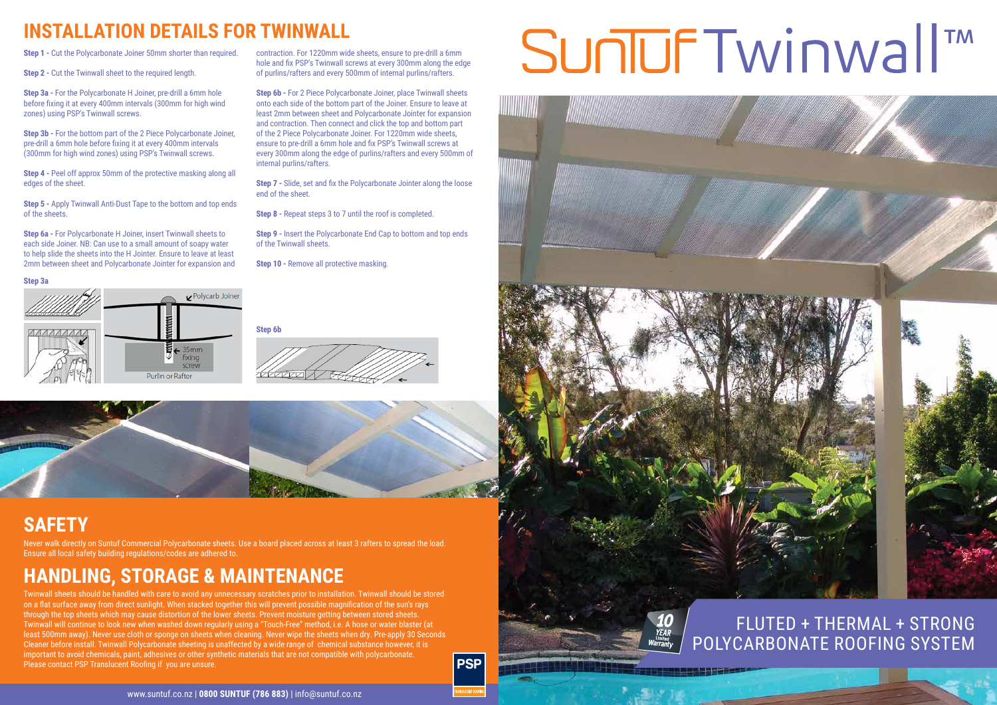

Twinwall sheets should be handled with care to avoid any unnecessary scratches prior to installation. Twinwall should be stored on a flat surface away from direct sunlight. When stacked together this will prevent possible magnification of the sun's rays through the top sheets which may cause distortion of the lower sheets. Prevent moisture getting between stored sheets. Twinwall will continue to look new when washed down regularly using a "Touch-Free" method, i.e. A hose or water blaster (at least 500mm away). Never use cloth or sponge on sheets when cleaning. Never wipe the sheets when dry. Pre-apply 30 Seconds Cleaner before install. Twinwall Polycarbonate sheeting is unaffected by a wide range of chemical substance however, it is important to avoid chemicals, paint, adhesives or other synthetic materials that are not compatible with polycarbonate. Please contact PSP Translucent Roofing if you are unsure.

### **PSP**

# Suniuf Twinwall<sup>™</sup>

**Step 4 -** Peel off approx 50mm of the protective masking along all edges of the sheet.

## **HANDLING, STORAGE & MAINTENANCE**

## **SAFETY**

Never walk directly on Suntuf Commercial Polycarbonate sheets. Use a board placed across at least 3 rafters to spread the load. Ensure all local safety building regulations/codes are adhered to.

**Step 2 -** Cut the Twinwall sheet to the required length.

**Step 3a -** For the Polycarbonate H Joiner, pre-drill a 6mm hole before fixing it at every 400mm intervals (300mm for high wind zones) using PSP's Twinwall screws.

**Step 3b -** For the bottom part of the 2 Piece Polycarbonate Joiner, pre-drill a 6mm hole before fixing it at every 400mm intervals (300mm for high wind zones) using PSP's Twinwall screws.

**Step 5 -** Apply Twinwall Anti-Dust Tape to the bottom and top ends of the sheets.

**Step 6a -** For Polycarbonate H Joiner, insert Twinwall sheets to each side Joiner. NB: Can use to a small amount of soapy water to help slide the sheets into the H Jointer. Ensure to leave at least 2mm between sheet and Polycarbonate Jointer for expansion and contraction. For 1220mm wide sheets, ensure to pre-drill a 6mm hole and fix PSP's Twinwall screws at every 300mm along the edge of purlins/rafters and every 500mm of internal purlins/rafters.

**Step 6b -** For 2 Piece Polycarbonate Joiner, place Twinwall sheets onto each side of the bottom part of the Joiner. Ensure to leave at least 2mm between sheet and Polycarbonate Jointer for expansion and contraction. Then connect and click the top and bottom part of the 2 Piece Polycarbonate Joiner. For 1220mm wide sheets, ensure to pre-drill a 6mm hole and fix PSP's Twinwall screws at every 300mm along the edge of purlins/rafters and every 500mm of internal purlins/rafters.

**Step 7 -** Slide, set and fix the Polycarbonate Jointer along the loose end of the sheet.

**Step 8 -** Repeat steps 3 to 7 until the roof is completed.

**Step 9 -** Insert the Polycarbonate End Cap to bottom and top ends of the Twinwall sheets.

**Step 10 - Remove all protective masking.** 

**Step 3a**



**Step 6b**





## **INSTALLATION DETAILS FOR TWINWALL**

**Step 1 - Cut the Polycarbonate Joiner 50mm shorter than required.**